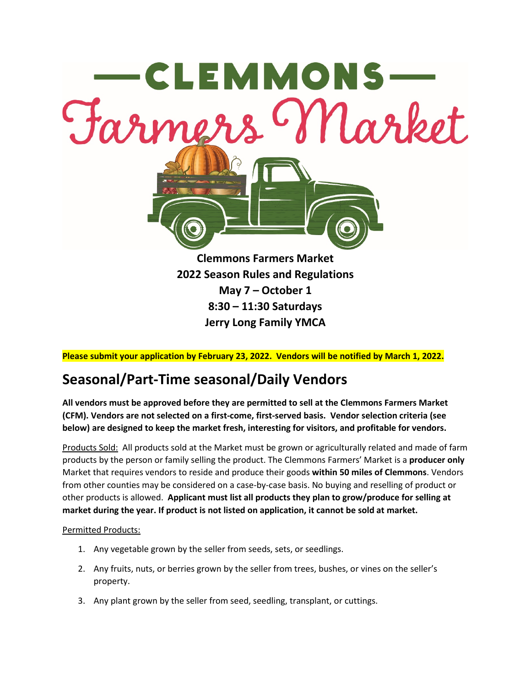

**Please submit your application by February 23, 2022. Vendors will be notified by March 1, 2022.**

# **Seasonal/Part-Time seasonal/Daily Vendors**

**All vendors must be approved before they are permitted to sell at the Clemmons Farmers Market (CFM). Vendors are not selected on a first-come, first-served basis. Vendor selection criteria (see below) are designed to keep the market fresh, interesting for visitors, and profitable for vendors.**

Products Sold: All products sold at the Market must be grown or agriculturally related and made of farm products by the person or family selling the product. The Clemmons Farmers' Market is a **producer only**  Market that requires vendors to reside and produce their goods **within 50 miles of Clemmons**. Vendors from other counties may be considered on a case-by-case basis. No buying and reselling of product or other products is allowed. **Applicant must list all products they plan to grow/produce for selling at market during the year. If product is not listed on application, it cannot be sold at market.**

# Permitted Products:

- 1. Any vegetable grown by the seller from seeds, sets, or seedlings.
- 2. Any fruits, nuts, or berries grown by the seller from trees, bushes, or vines on the seller's property.
- 3. Any plant grown by the seller from seed, seedling, transplant, or cuttings.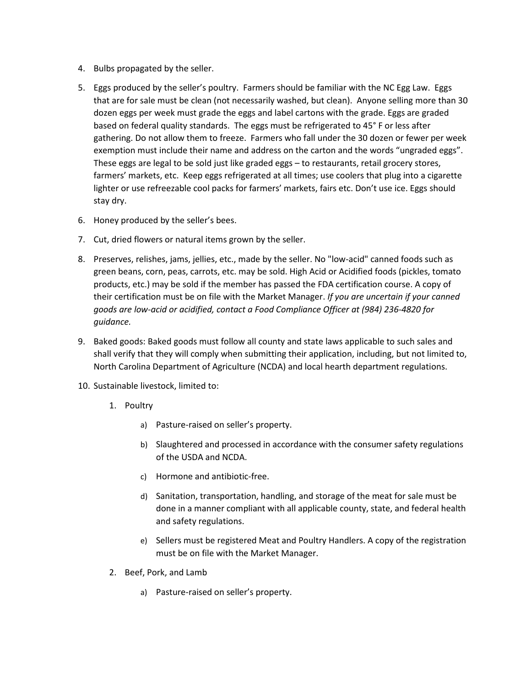- 4. Bulbs propagated by the seller.
- 5. Eggs produced by the seller's poultry. Farmers should be familiar with the NC Egg Law. Eggs that are for sale must be clean (not necessarily washed, but clean). Anyone selling more than 30 dozen eggs per week must grade the eggs and label cartons with the grade. Eggs are graded based on federal quality standards. The eggs must be refrigerated to 45° F or less after gathering. Do not allow them to freeze. Farmers who fall under the 30 dozen or fewer per week exemption must include their name and address on the carton and the words "ungraded eggs". These eggs are legal to be sold just like graded eggs – to restaurants, retail grocery stores, farmers' markets, etc. Keep eggs refrigerated at all times; use coolers that plug into a cigarette lighter or use refreezable cool packs for farmers' markets, fairs etc. Don't use ice. Eggs should stay dry.
- 6. Honey produced by the seller's bees.
- 7. Cut, dried flowers or natural items grown by the seller.
- 8. Preserves, relishes, jams, jellies, etc., made by the seller. No "low-acid" canned foods such as green beans, corn, peas, carrots, etc. may be sold. High Acid or Acidified foods (pickles, tomato products, etc.) may be sold if the member has passed the FDA certification course. A copy of their certification must be on file with the Market Manager. *If you are uncertain if your canned goods are low-acid or acidified, contact a Food Compliance Officer at (984) 236-4820 for guidance.*
- 9. Baked goods: Baked goods must follow all county and state laws applicable to such sales and shall verify that they will comply when submitting their application, including, but not limited to, North Carolina Department of Agriculture (NCDA) and local hearth department regulations.
- 10. Sustainable livestock, limited to:
	- 1. Poultry
		- a) Pasture-raised on seller's property.
		- b) Slaughtered and processed in accordance with the consumer safety regulations of the USDA and NCDA.
		- c) Hormone and antibiotic-free.
		- d) Sanitation, transportation, handling, and storage of the meat for sale must be done in a manner compliant with all applicable county, state, and federal health and safety regulations.
		- e) Sellers must be registered Meat and Poultry Handlers. A copy of the registration must be on file with the Market Manager.
	- 2. Beef, Pork, and Lamb
		- a) Pasture-raised on seller's property.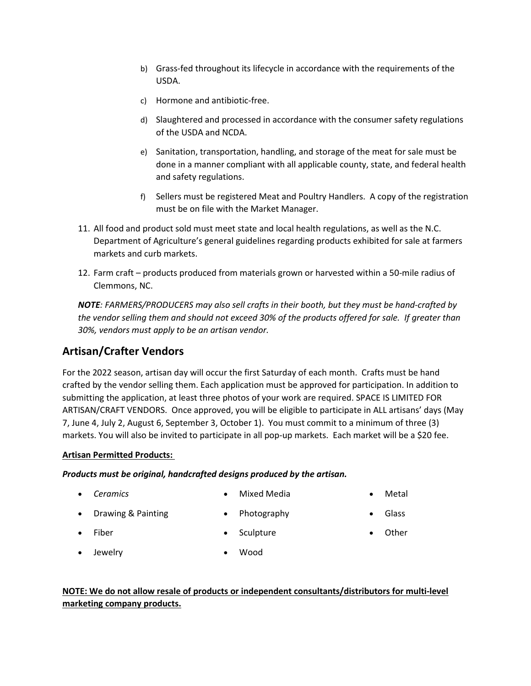- b) Grass-fed throughout its lifecycle in accordance with the requirements of the USDA.
- c) Hormone and antibiotic-free.
- d) Slaughtered and processed in accordance with the consumer safety regulations of the USDA and NCDA.
- e) Sanitation, transportation, handling, and storage of the meat for sale must be done in a manner compliant with all applicable county, state, and federal health and safety regulations.
- f) Sellers must be registered Meat and Poultry Handlers. A copy of the registration must be on file with the Market Manager.
- 11. All food and product sold must meet state and local health regulations, as well as the N.C. Department of Agriculture's general guidelines regarding products exhibited for sale at farmers markets and curb markets.
- 12. Farm craft products produced from materials grown or harvested within a 50-mile radius of Clemmons, NC.

*NOTE: FARMERS/PRODUCERS may also sell crafts in their booth, but they must be hand-crafted by the vendor selling them and should not exceed 30% of the products offered for sale. If greater than 30%, vendors must apply to be an artisan vendor.*

# **Artisan/Crafter Vendors**

For the 2022 season, artisan day will occur the first Saturday of each month. Crafts must be hand crafted by the vendor selling them. Each application must be approved for participation. In addition to submitting the application, at least three photos of your work are required. SPACE IS LIMITED FOR ARTISAN/CRAFT VENDORS. Once approved, you will be eligible to participate in ALL artisans' days (May 7, June 4, July 2, August 6, September 3, October 1). You must commit to a minimum of three (3) markets. You will also be invited to participate in all pop-up markets. Each market will be a \$20 fee.

# **Artisan Permitted Products:**

*Products must be original, handcrafted designs produced by the artisan.*

• *Ceramics*

• Mixed Media

**Sculpture** 

• Metal

- Drawing & Painting
- 

- Photography
- Glass

**Other** 

• Fiber

• Jewelry

• Wood

# **NOTE: We do not allow resale of products or independent consultants/distributors for multi-level marketing company products.**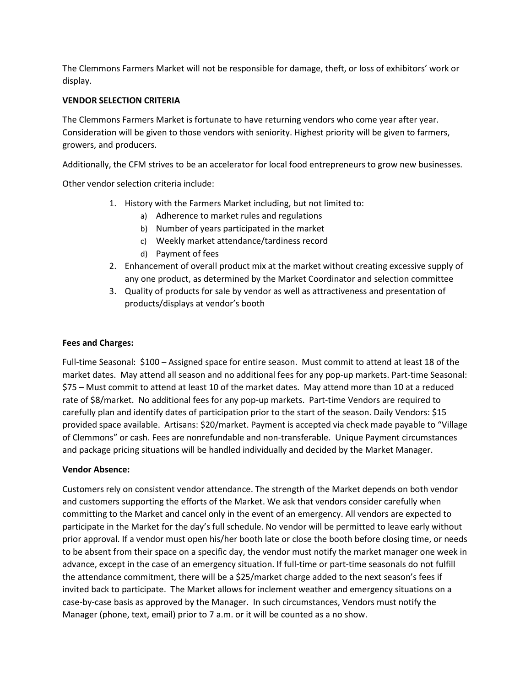The Clemmons Farmers Market will not be responsible for damage, theft, or loss of exhibitors' work or display.

# **VENDOR SELECTION CRITERIA**

The Clemmons Farmers Market is fortunate to have returning vendors who come year after year. Consideration will be given to those vendors with seniority. Highest priority will be given to farmers, growers, and producers.

Additionally, the CFM strives to be an accelerator for local food entrepreneurs to grow new businesses.

Other vendor selection criteria include:

- 1. History with the Farmers Market including, but not limited to:
	- a) Adherence to market rules and regulations
	- b) Number of years participated in the market
	- c) Weekly market attendance/tardiness record
	- d) Payment of fees
- 2. Enhancement of overall product mix at the market without creating excessive supply of any one product, as determined by the Market Coordinator and selection committee
- 3. Quality of products for sale by vendor as well as attractiveness and presentation of products/displays at vendor's booth

# **Fees and Charges:**

Full-time Seasonal: \$100 – Assigned space for entire season. Must commit to attend at least 18 of the market dates. May attend all season and no additional fees for any pop-up markets. Part-time Seasonal: \$75 – Must commit to attend at least 10 of the market dates. May attend more than 10 at a reduced rate of \$8/market. No additional fees for any pop-up markets. Part-time Vendors are required to carefully plan and identify dates of participation prior to the start of the season. Daily Vendors: \$15 provided space available. Artisans: \$20/market. Payment is accepted via check made payable to "Village of Clemmons" or cash. Fees are nonrefundable and non-transferable. Unique Payment circumstances and package pricing situations will be handled individually and decided by the Market Manager.

### **Vendor Absence:**

Customers rely on consistent vendor attendance. The strength of the Market depends on both vendor and customers supporting the efforts of the Market. We ask that vendors consider carefully when committing to the Market and cancel only in the event of an emergency. All vendors are expected to participate in the Market for the day's full schedule. No vendor will be permitted to leave early without prior approval. If a vendor must open his/her booth late or close the booth before closing time, or needs to be absent from their space on a specific day, the vendor must notify the market manager one week in advance, except in the case of an emergency situation. If full-time or part-time seasonals do not fulfill the attendance commitment, there will be a \$25/market charge added to the next season's fees if invited back to participate. The Market allows for inclement weather and emergency situations on a case-by-case basis as approved by the Manager. In such circumstances, Vendors must notify the Manager (phone, text, email) prior to 7 a.m. or it will be counted as a no show.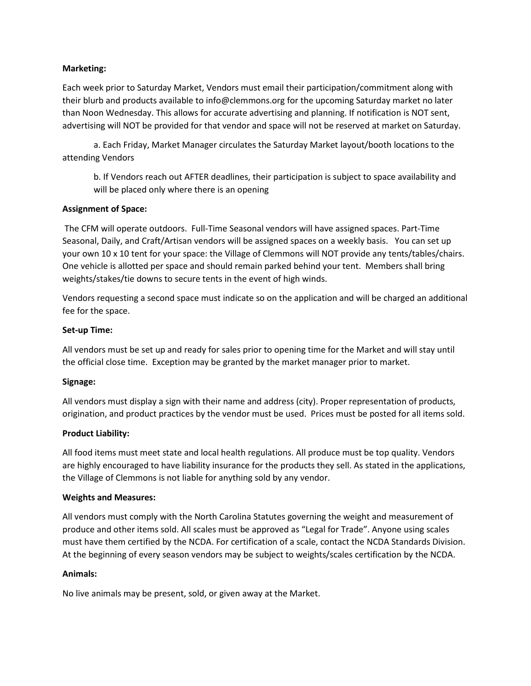#### **Marketing:**

Each week prior to Saturday Market, Vendors must email their participation/commitment along with their blurb and products available to info@clemmons.org for the upcoming Saturday market no later than Noon Wednesday. This allows for accurate advertising and planning. If notification is NOT sent, advertising will NOT be provided for that vendor and space will not be reserved at market on Saturday.

a. Each Friday, Market Manager circulates the Saturday Market layout/booth locations to the attending Vendors

b. If Vendors reach out AFTER deadlines, their participation is subject to space availability and will be placed only where there is an opening

#### **Assignment of Space:**

The CFM will operate outdoors. Full-Time Seasonal vendors will have assigned spaces. Part-Time Seasonal, Daily, and Craft/Artisan vendors will be assigned spaces on a weekly basis. You can set up your own 10 x 10 tent for your space: the Village of Clemmons will NOT provide any tents/tables/chairs. One vehicle is allotted per space and should remain parked behind your tent. Members shall bring weights/stakes/tie downs to secure tents in the event of high winds.

Vendors requesting a second space must indicate so on the application and will be charged an additional fee for the space.

#### **Set-up Time:**

All vendors must be set up and ready for sales prior to opening time for the Market and will stay until the official close time. Exception may be granted by the market manager prior to market.

### **Signage:**

All vendors must display a sign with their name and address (city). Proper representation of products, origination, and product practices by the vendor must be used. Prices must be posted for all items sold.

### **Product Liability:**

All food items must meet state and local health regulations. All produce must be top quality. Vendors are highly encouraged to have liability insurance for the products they sell. As stated in the applications, the Village of Clemmons is not liable for anything sold by any vendor.

#### **Weights and Measures:**

All vendors must comply with the North Carolina Statutes governing the weight and measurement of produce and other items sold. All scales must be approved as "Legal for Trade". Anyone using scales must have them certified by the NCDA. For certification of a scale, contact the NCDA Standards Division. At the beginning of every season vendors may be subject to weights/scales certification by the NCDA.

#### **Animals:**

No live animals may be present, sold, or given away at the Market.